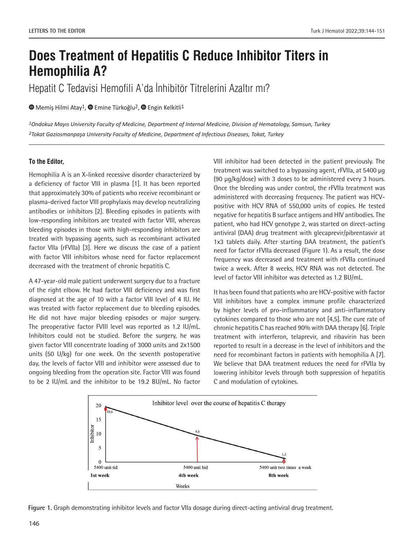# **Does Treatment of Hepatitis C Reduce Inhibitor Titers in Hemophilia A?**

Hepatit C Tedavisi Hemofili A'da İnhibitör Titrelerini Azaltır mı?

**■**Memiş Hilmi Atay<sup>1</sup>, ■ Emine Türkoğlu<sup>2</sup>, ■ Engin Kelkitli<sup>1</sup>

*1Ondokuz Mayıs University Faculty of Medicine, Department of Internal Medicine, Division of Hematology, Samsun, Turkey 2Tokat Gaziosmanpaşa University Faculty of Medicine, Department of Infectious Diseases, Tokat, Turkey* 

## **To the Editor,**

Hemophilia A is an X-linked recessive disorder characterized by a deficiency of factor VIII in plasma [1]. It has been reported that approximately 30% of patients who receive recombinant or plasma-derived factor VIII prophylaxis may develop neutralizing antibodies or inhibitors [2]. Bleeding episodes in patients with low-responding inhibitors are treated with factor VIII, whereas bleeding episodes in those with high-responding inhibitors are treated with bypassing agents, such as recombinant activated factor VIIa (rFVIIa) [3]. Here we discuss the case of a patient with factor VIII inhibitors whose need for factor replacement decreased with the treatment of chronic hepatitis C.

A 47-year-old male patient underwent surgery due to a fracture of the right elbow. He had factor VIII deficiency and was first diagnosed at the age of 10 with a factor VIII level of 4 IU. He was treated with factor replacement due to bleeding episodes. He did not have major bleeding episodes or major surgery. The preoperative factor FVIII level was reported as 1.2 IU/mL. Inhibitors could not be studied. Before the surgery, he was given factor VIII concentrate loading of 3000 units and 2x1500 units (50 U/kg) for one week. On the seventh postoperative day, the levels of factor VIII and inhibitor were assessed due to ongoing bleeding from the operation site. Factor VIII was found to be 2 IU/mL and the inhibitor to be 19.2 BU/mL. No factor

VIII inhibitor had been detected in the patient previously. The treatment was switched to a bypassing agent, rFVIIa, at 5400 µg (90 µg/kg/dose) with 3 doses to be administered every 3 hours. Once the bleeding was under control, the rFVIIa treatment was administered with decreasing frequency. The patient was HCVpositive with HCV RNA of 550,000 units of copies. He tested negative for hepatitis B surface antigens and HIV antibodies. The patient, who had HCV genotype 2, was started on direct-acting antiviral (DAA) drug treatment with glecaprevir/pibrentasvir at 1x3 tablets daily. After starting DAA treatment, the patient's need for factor rFVIIa decreased (Figure 1). As a result, the dose frequency was decreased and treatment with rFVIIa continued twice a week. After 8 weeks, HCV RNA was not detected. The level of factor VIII inhibitor was detected as 1.2 BU/mL.

It has been found that patients who are HCV-positive with factor VIII inhibitors have a complex immune profile characterized by higher levels of pro-inflammatory and anti-inflammatory cytokines compared to those who are not [4,5]. The cure rate of chronic hepatitis C has reached 90% with DAA therapy [6]. Triple treatment with interferon, telaprevir, and ribavirin has been reported to result in a decrease in the level of inhibitors and the need for recombinant factors in patients with hemophilia A [7]. We believe that DAA treatment reduces the need for rFVIIa by lowering inhibitor levels through both suppression of hepatitis C and modulation of cytokines.



**Figure 1.** Graph demonstrating inhibitor levels and factor VIIa dosage during direct-acting antiviral drug treatment.